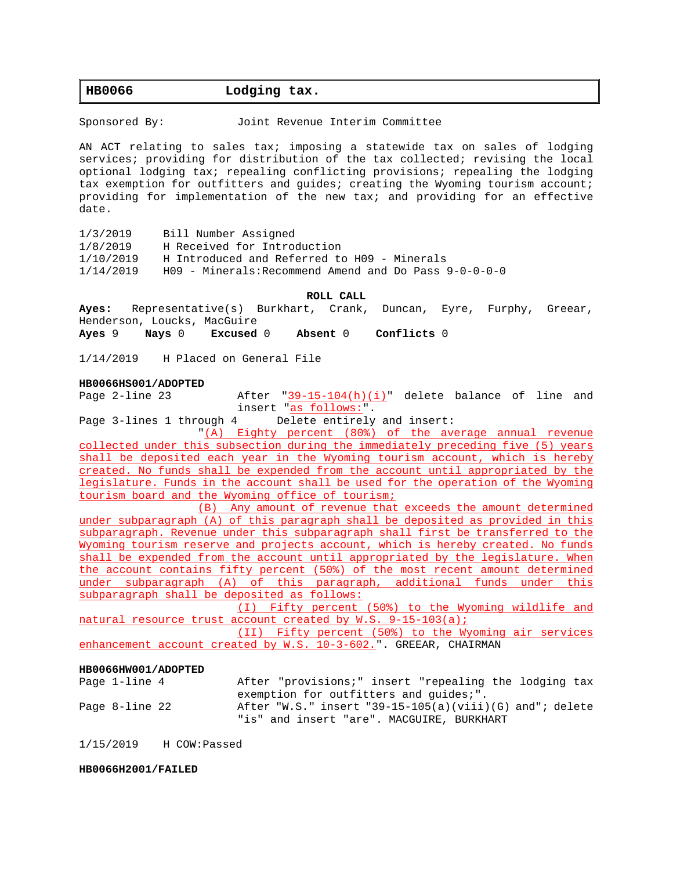# **HB0066 Lodging tax.**

Sponsored By: Joint Revenue Interim Committee

AN ACT relating to sales tax; imposing a statewide tax on sales of lodging services; providing for distribution of the tax collected; revising the local optional lodging tax; repealing conflicting provisions; repealing the lodging tax exemption for outfitters and guides; creating the Wyoming tourism account; providing for implementation of the new tax; and providing for an effective date.

1/3/2019 Bill Number Assigned

1/8/2019 H Received for Introduction

1/10/2019 H Introduced and Referred to H09 - Minerals

1/14/2019 H09 - Minerals:Recommend Amend and Do Pass 9-0-0-0-0

### **ROLL CALL**

**Ayes:** Representative(s) Burkhart, Crank, Duncan, Eyre, Furphy, Greear, Henderson, Loucks, MacGuire

**Ayes** 9 **Nays** 0 **Excused** 0 **Absent** 0 **Conflicts** 0

1/14/2019 H Placed on General File

### **HB0066HS001/ADOPTED**

Page 2-line 23 After "39-15-104(h)(i)" delete balance of line and insert "as follows:".

Page 3-lines 1 through 4 Delete entirely and insert:

"(A) Eighty percent (80%) of the average annual revenue collected under this subsection during the immediately preceding five (5) years shall be deposited each year in the Wyoming tourism account, which is hereby created. No funds shall be expended from the account until appropriated by the legislature. Funds in the account shall be used for the operation of the Wyoming tourism board and the Wyoming office of tourism;

(B) Any amount of revenue that exceeds the amount determined under subparagraph (A) of this paragraph shall be deposited as provided in this subparagraph. Revenue under this subparagraph shall first be transferred to the Wyoming tourism reserve and projects account, which is hereby created. No funds shall be expended from the account until appropriated by the legislature. When the account contains fifty percent (50%) of the most recent amount determined under subparagraph (A) of this paragraph, additional funds under this subparagraph shall be deposited as follows:

(I) Fifty percent (50%) to the Wyoming wildlife and natural resource trust account created by W.S. 9-15-103(a);

(II) Fifty percent (50%) to the Wyoming air services enhancement account created by W.S. 10-3-602.". GREEAR, CHAIRMAN

#### **HB0066HW001/ADOPTED**

| Page 1-line 4  | After "provisions;" insert "repealing the lodging tax                                                |  |
|----------------|------------------------------------------------------------------------------------------------------|--|
|                | exemption for outfitters and quides;".                                                               |  |
| Page 8-line 22 | After "W.S." insert "39-15-105(a)(viii)(G) and"; delete<br>"is" and insert "are". MACGUIRE, BURKHART |  |
|                |                                                                                                      |  |

1/15/2019 H COW:Passed

### **HB0066H2001/FAILED**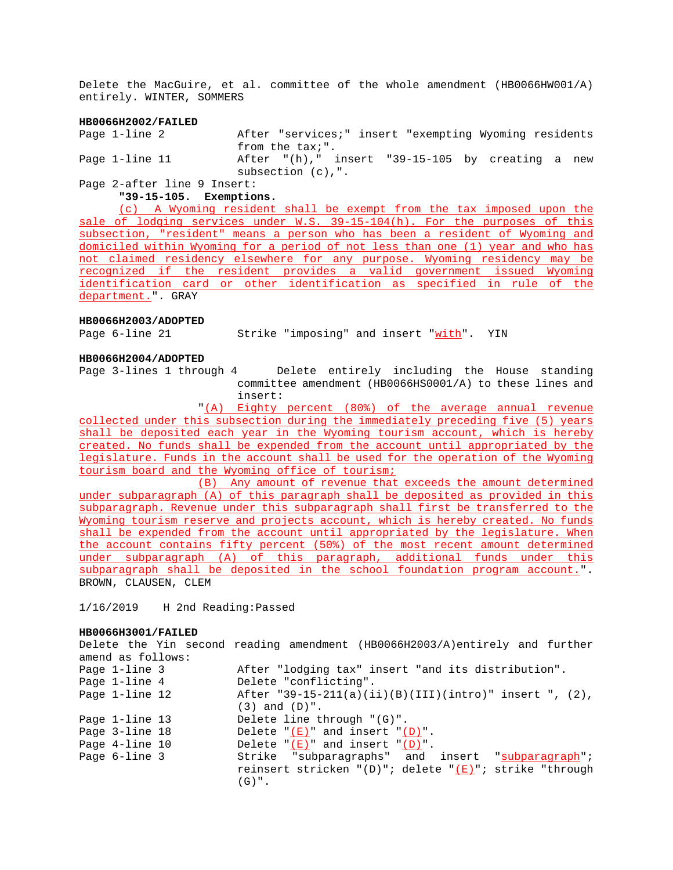Delete the MacGuire, et al. committee of the whole amendment (HB0066HW001/A) entirely. WINTER, SOMMERS

### **HB0066H2002/FAILED**

Page 1-line 2 After "services;" insert "exempting Wyoming residents from the tax;". Page 1-line 11 After "(h)," insert "39-15-105 by creating a new subsection (c),".

# Page 2-after line 9 Insert:

**"39-15-105. Exemptions.**

(c) A Wyoming resident shall be exempt from the tax imposed upon the sale of lodging services under W.S. 39-15-104(h). For the purposes of this subsection, "resident" means a person who has been a resident of Wyoming and domiciled within Wyoming for a period of not less than one (1) year and who has not claimed residency elsewhere for any purpose. Wyoming residency may be recognized if the resident provides a valid government issued Wyoming identification card or other identification as specified in rule of the department.". GRAY

### **HB0066H2003/ADOPTED**

Page 6-line 21 Strike "imposing" and insert "with". YIN

### **HB0066H2004/ADOPTED**

Page 3-lines 1 through 4 Delete entirely including the House standing committee amendment (HB0066HS0001/A) to these lines and insert:

"(A) Eighty percent (80%) of the average annual revenue collected under this subsection during the immediately preceding five (5) years shall be deposited each year in the Wyoming tourism account, which is hereby created. No funds shall be expended from the account until appropriated by the legislature. Funds in the account shall be used for the operation of the Wyoming tourism board and the Wyoming office of tourism;

(B) Any amount of revenue that exceeds the amount determined under subparagraph (A) of this paragraph shall be deposited as provided in this subparagraph. Revenue under this subparagraph shall first be transferred to the Wyoming tourism reserve and projects account, which is hereby created. No funds shall be expended from the account until appropriated by the legislature. When the account contains fifty percent (50%) of the most recent amount determined under subparagraph (A) of this paragraph, additional funds under this subparagraph shall be deposited in the school foundation program account.". BROWN, CLAUSEN, CLEM

1/16/2019 H 2nd Reading:Passed

### **HB0066H3001/FAILED**

Delete the Yin second reading amendment (HB0066H2003/A)entirely and further amend as follows: Page 1-line 3 After "lodging tax" insert "and its distribution". Page 1-line 4 Delete "conflicting". Page 1-line 12 After "39-15-211(a)(ii)(B)(III)(intro)" insert ", (2), (3) and (D)". Page 1-line 13 Delete line through "(G)". Page  $3$ -line  $18$  Delete " $(E)$ " and insert " $(D)$ ". Page 4-line 10 Delete "(E)" and insert "(D)". Page 6-line 3 Strike "subparagraphs" and insert "subparagraph"; reinsert stricken "(D)"; delete " $(E)$ "; strike "through  $(G)$  ".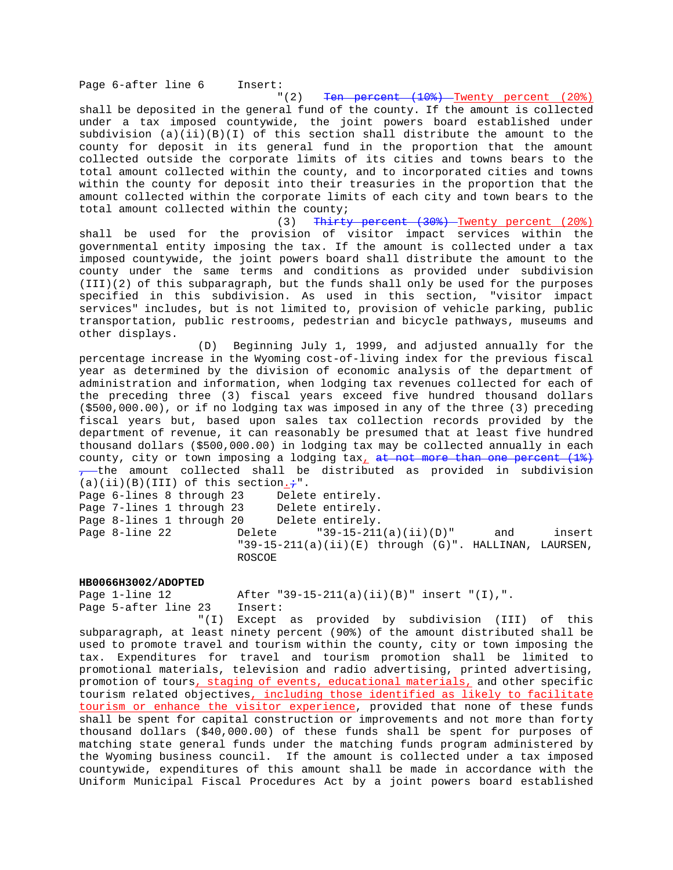"(2) Ten percent (10%) Twenty percent (20%)

shall be deposited in the general fund of the county. If the amount is collected under a tax imposed countywide, the joint powers board established under subdivision (a)(ii)(B)(I) of this section shall distribute the amount to the county for deposit in its general fund in the proportion that the amount collected outside the corporate limits of its cities and towns bears to the total amount collected within the county, and to incorporated cities and towns within the county for deposit into their treasuries in the proportion that the amount collected within the corporate limits of each city and town bears to the total amount collected within the county;

(3) Thirty percent (30%) Twenty percent (20%) shall be used for the provision of visitor impact services within the governmental entity imposing the tax. If the amount is collected under a tax imposed countywide, the joint powers board shall distribute the amount to the county under the same terms and conditions as provided under subdivision (III)(2) of this subparagraph, but the funds shall only be used for the purposes specified in this subdivision. As used in this section, "visitor impact services" includes, but is not limited to, provision of vehicle parking, public transportation, public restrooms, pedestrian and bicycle pathways, museums and other displays.

(D) Beginning July 1, 1999, and adjusted annually for the percentage increase in the Wyoming cost-of-living index for the previous fiscal year as determined by the division of economic analysis of the department of administration and information, when lodging tax revenues collected for each of the preceding three (3) fiscal years exceed five hundred thousand dollars (\$500,000.00), or if no lodging tax was imposed in any of the three (3) preceding fiscal years but, based upon sales tax collection records provided by the department of revenue, it can reasonably be presumed that at least five hundred thousand dollars (\$500,000.00) in lodging tax may be collected annually in each county, city or town imposing a lodging  $tax_{\perp}$  at not more than one percent (1%)  $-$ the amount collected shall be distributed as provided in subdivision  $(a)(ii)(B)(III)$  of this section. $\div$ ".

Page 6-lines 8 through 23 Delete entirely. Page 7-lines 1 through 23 Delete entirely. Page 8-lines 1 through 20 Delete entirely. Page 8-line 22 Delete "39-15-211(a)(ii)(D)" and insert "39-15-211(a)(ii)(E) through (G)". HALLINAN, LAURSEN, ROSCOE

#### **HB0066H3002/ADOPTED**

Page 1-line 12 After "39-15-211(a)(ii)(B)" insert "(I),". Page 5-after line 23 Insert:

"(I) Except as provided by subdivision (III) of this subparagraph, at least ninety percent (90%) of the amount distributed shall be used to promote travel and tourism within the county, city or town imposing the tax. Expenditures for travel and tourism promotion shall be limited to promotional materials, television and radio advertising, printed advertising, promotion of tours, staging of events, educational materials, and other specific tourism related objectives, including those identified as likely to facilitate tourism or enhance the visitor experience, provided that none of these funds shall be spent for capital construction or improvements and not more than forty thousand dollars (\$40,000.00) of these funds shall be spent for purposes of matching state general funds under the matching funds program administered by the Wyoming business council. If the amount is collected under a tax imposed countywide, expenditures of this amount shall be made in accordance with the Uniform Municipal Fiscal Procedures Act by a joint powers board established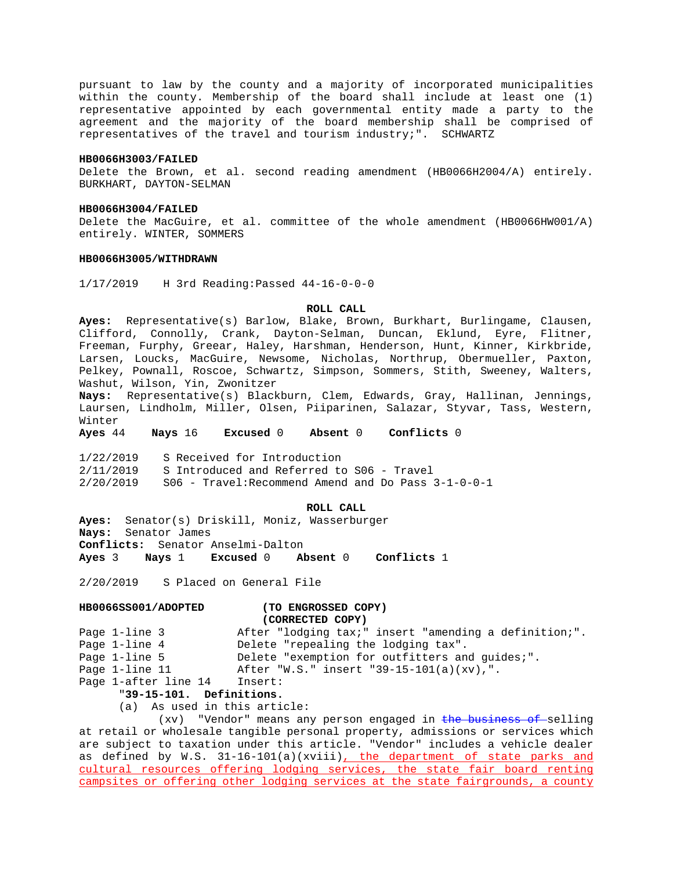pursuant to law by the county and a majority of incorporated municipalities within the county. Membership of the board shall include at least one (1) representative appointed by each governmental entity made a party to the agreement and the majority of the board membership shall be comprised of representatives of the travel and tourism industry;". SCHWARTZ

#### **HB0066H3003/FAILED**

Delete the Brown, et al. second reading amendment (HB0066H2004/A) entirely. BURKHART, DAYTON-SELMAN

#### **HB0066H3004/FAILED**

Delete the MacGuire, et al. committee of the whole amendment (HB0066HW001/A) entirely. WINTER, SOMMERS

### **HB0066H3005/WITHDRAWN**

1/17/2019 H 3rd Reading:Passed 44-16-0-0-0

### **ROLL CALL**

**Ayes:** Representative(s) Barlow, Blake, Brown, Burkhart, Burlingame, Clausen, Clifford, Connolly, Crank, Dayton-Selman, Duncan, Eklund, Eyre, Flitner, Freeman, Furphy, Greear, Haley, Harshman, Henderson, Hunt, Kinner, Kirkbride, Larsen, Loucks, MacGuire, Newsome, Nicholas, Northrup, Obermueller, Paxton, Pelkey, Pownall, Roscoe, Schwartz, Simpson, Sommers, Stith, Sweeney, Walters, Washut, Wilson, Yin, Zwonitzer

**Nays:** Representative(s) Blackburn, Clem, Edwards, Gray, Hallinan, Jennings, Laursen, Lindholm, Miller, Olsen, Piiparinen, Salazar, Styvar, Tass, Western, Winter

**Ayes** 44 **Nays** 16 **Excused** 0 **Absent** 0 **Conflicts** 0

1/22/2019 S Received for Introduction 2/11/2019 S Introduced and Referred to S06 - Travel  $2/20/2019$  S06 - Travel: Recommend Amend and Do Pass  $3-1-0-0-1$ 

### **ROLL CALL**

**Ayes:** Senator(s) Driskill, Moniz, Wasserburger **Nays:** Senator James **Conflicts:** Senator Anselmi-Dalton **Ayes** 3 **Nays** 1 **Excused** 0 **Absent** 0 **Conflicts** 1

2/20/2019 S Placed on General File

# **HB0066SS001/ADOPTED (TO ENGROSSED COPY)**

### **(CORRECTED COPY)**

| Page 1-line 3            | After "lodging tax;" insert "amending a definition;". |
|--------------------------|-------------------------------------------------------|
| Page 1-line 4            | Delete "repealing the lodging tax".                   |
| Page 1-line 5            | Delete "exemption for outfitters and quides;".        |
| Page 1-line 11           | After "W.S." insert "39-15-101(a)(xv),".              |
| Page 1-after line 14     | Insert:                                               |
| "39-15-101. Definitions. |                                                       |

# (a) As used in this article:

(xv) "Vendor" means any person engaged in the business of selling at retail or wholesale tangible personal property, admissions or services which are subject to taxation under this article. "Vendor" includes a vehicle dealer as defined by W.S. 31-16-101(a)(xviii), the department of state parks and cultural resources offering lodging services, the state fair board renting campsites or offering other lodging services at the state fairgrounds, a county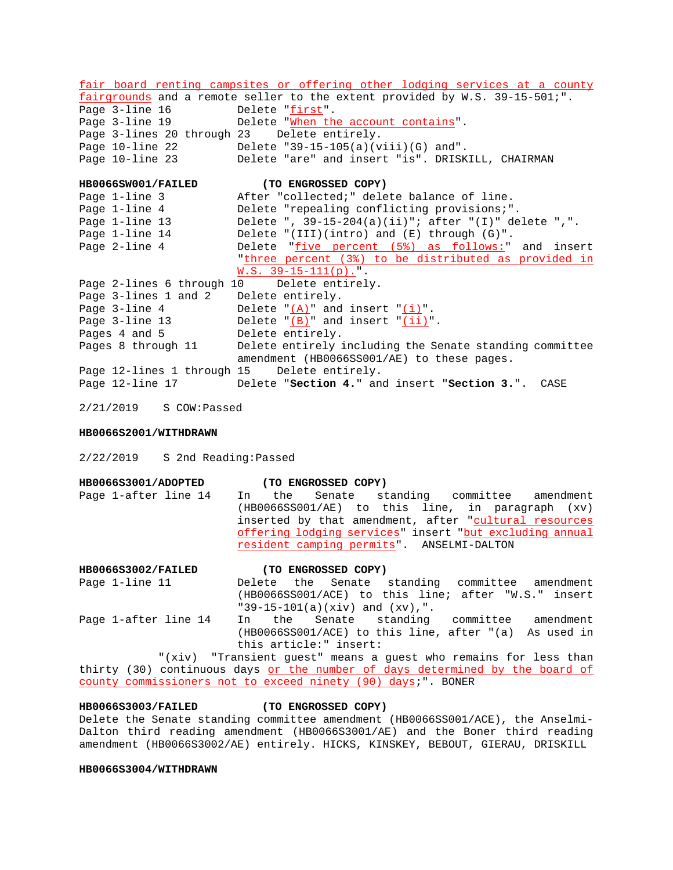fair board renting campsites or offering other lodging services at a county fairgrounds and a remote seller to the extent provided by W.S. 39-15-501;". Page 3-line 16 Delete "first". Page 3-line 19 Delete "When the account contains". Page 3-lines 20 through 23 Delete entirely. Page 10-line 22 Delete "39-15-105(a)(viii)(G) and". Page 10-line 23 Delete "are" and insert "is". DRISKILL, CHAIRMAN **HB0066SW001/FAILED (TO ENGROSSED COPY)** Page 1-line 3 After "collected;" delete balance of line. Page 1-line 4 Delete "repealing conflicting provisions;". Page 1-line 13 Delete ", 39-15-204(a)(ii)"; after "(I)" delete ",". Page 1-line 14 Delete "(III)(intro) and (E) through (G)". Page 2-line 4 Delete "five percent (5%) as follows:" and insert "three percent (3%) to be distributed as provided in  $W.S. 39-15-111(p)$ .". Page 2-lines 6 through 10 Delete entirely. Page 3-lines 1 and 2 Delete entirely.<br>Page 3-line 4 Delete "<u>(A)</u>" and Delete " $(A)$ " and insert " $(i)$ ". Page 3-line 13 Delete  $\underline{(B)}$  and insert  $\underline{(ii)}$ . Pages 4 and 5 Delete entirely. Pages 8 through 11 Delete entirely including the Senate standing committee amendment (HB0066SS001/AE) to these pages. Page 12-lines 1 through 15 Delete entirely. Page 12-line 17 Delete "**Section 4.**" and insert "**Section 3.**". CASE

2/21/2019 S COW:Passed

### **HB0066S2001/WITHDRAWN**

2/22/2019 S 2nd Reading:Passed

| <b>HB0066S3001/ADOPTED</b> | (TO ENGROSSED COPY)                                     |  |
|----------------------------|---------------------------------------------------------|--|
| Page 1-after line 14       | In the Senate standing committee amendment              |  |
|                            | $(HB0066SS001/AE)$ to this line, in paragraph $(xv)$    |  |
|                            | inserted by that amendment, after "cultural resources   |  |
|                            | offering lodging services" insert "but excluding annual |  |
|                            | resident camping permits". ANSELMI-DALTON               |  |
|                            |                                                         |  |

# **HB0066S3002/FAILED (TO ENGROSSED COPY)** Page 1-line 11 Delete the Senate standing committee amendment (HB0066SS001/ACE) to this line; after "W.S." insert "39-15-101(a)(xiv) and (xv),".

Page 1-after line 14 In the Senate standing committee amendment (HB0066SS001/ACE) to this line, after "(a) As used in this article:" insert:

"(xiv) "Transient guest" means a guest who remains for less than thirty (30) continuous days or the number of days determined by the board of county commissioners not to exceed ninety (90) days;". BONER

### **HB0066S3003/FAILED (TO ENGROSSED COPY)**

Delete the Senate standing committee amendment (HB0066SS001/ACE), the Anselmi-Dalton third reading amendment (HB0066S3001/AE) and the Boner third reading amendment (HB0066S3002/AE) entirely. HICKS, KINSKEY, BEBOUT, GIERAU, DRISKILL

### **HB0066S3004/WITHDRAWN**